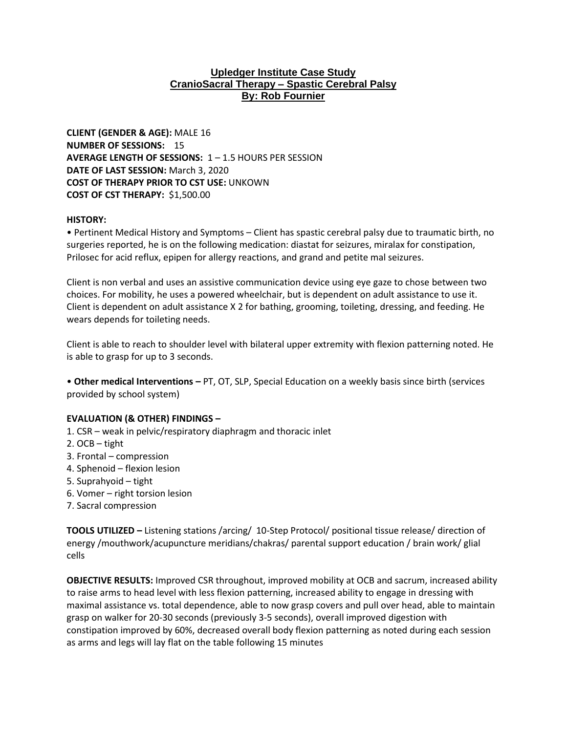## **Upledger Institute Case Study CranioSacral Therapy – Spastic Cerebral Palsy By: Rob Fournier**

**CLIENT (GENDER & AGE):** MALE 16 **NUMBER OF SESSIONS:** 15 **AVERAGE LENGTH OF SESSIONS:** 1 – 1.5 HOURS PER SESSION **DATE OF LAST SESSION:** March 3, 2020 **COST OF THERAPY PRIOR TO CST USE:** UNKOWN **COST OF CST THERAPY:** \$1,500.00

## **HISTORY:**

• Pertinent Medical History and Symptoms – Client has spastic cerebral palsy due to traumatic birth, no surgeries reported, he is on the following medication: diastat for seizures, miralax for constipation, Prilosec for acid reflux, epipen for allergy reactions, and grand and petite mal seizures.

Client is non verbal and uses an assistive communication device using eye gaze to chose between two choices. For mobility, he uses a powered wheelchair, but is dependent on adult assistance to use it. Client is dependent on adult assistance X 2 for bathing, grooming, toileting, dressing, and feeding. He wears depends for toileting needs.

Client is able to reach to shoulder level with bilateral upper extremity with flexion patterning noted. He is able to grasp for up to 3 seconds.

• **Other medical Interventions –** PT, OT, SLP, Special Education on a weekly basis since birth (services provided by school system)

## **EVALUATION (& OTHER) FINDINGS –**

- 1. CSR weak in pelvic/respiratory diaphragm and thoracic inlet
- 2. OCB tight
- 3. Frontal compression
- 4. Sphenoid flexion lesion
- 5. Suprahyoid tight
- 6. Vomer right torsion lesion
- 7. Sacral compression

**TOOLS UTILIZED –** Listening stations /arcing/ 10-Step Protocol/ positional tissue release/ direction of energy /mouthwork/acupuncture meridians/chakras/ parental support education / brain work/ glial cells

**OBJECTIVE RESULTS:** Improved CSR throughout, improved mobility at OCB and sacrum, increased ability to raise arms to head level with less flexion patterning, increased ability to engage in dressing with maximal assistance vs. total dependence, able to now grasp covers and pull over head, able to maintain grasp on walker for 20-30 seconds (previously 3-5 seconds), overall improved digestion with constipation improved by 60%, decreased overall body flexion patterning as noted during each session as arms and legs will lay flat on the table following 15 minutes